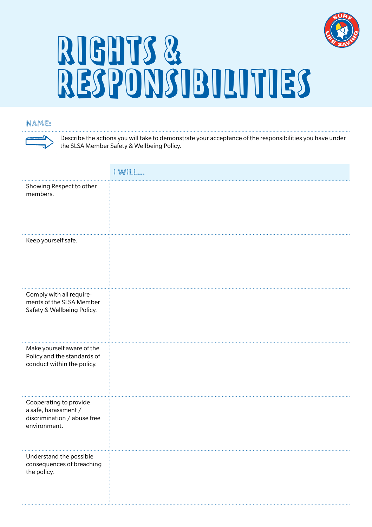

# RIGHTS & RESPONSIBILITIES

## **NAME:**

Describe the actions you will take to demonstrate your acceptance of the responsibilities you have under the SLSA Member Safety & Wellbeing Policy.

| Showing Respect to other<br>members.                                                          |  |
|-----------------------------------------------------------------------------------------------|--|
| Keep yourself safe.                                                                           |  |
| Comply with all require-<br>ments of the SLSA Member<br>Safety & Wellbeing Policy.            |  |
| Make yourself aware of the<br>Policy and the standards of<br>conduct within the policy.       |  |
| Cooperating to provide<br>a safe, harassment /<br>discrimination / abuse free<br>environment. |  |
| Understand the possible<br>consequences of breaching<br>the policy.                           |  |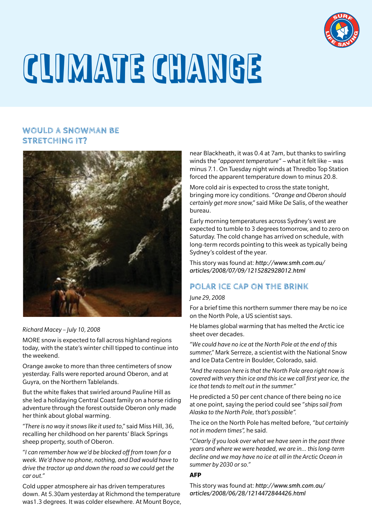

# CLIMATE CHANGE

## **WOULD A SNOWMAN BE STRETCHING IT?**



*Richard Macey – July 10, 2008*

MORE snow is expected to fall across highland regions today, with the state's winter chill tipped to continue into the weekend.

Orange awoke to more than three centimeters of snow yesterday. Falls were reported around Oberon, and at Guyra, on the Northern Tablelands.

But the white flakes that swirled around Pauline Hill as she led a holidaying Central Coast family on a horse riding adventure through the forest outside Oberon only made her think about global warming.

*"There is no way it snows like it used to,"* said Miss Hill, 36, recalling her childhood on her parents' Black Springs sheep property, south of Oberon.

*"I can remember how we'd be blocked off from town for a week. We'd have no phone, nothing, and Dad would have to drive the tractor up and down the road so we could get the car out."*

Cold upper atmosphere air has driven temperatures down. At 5.30am yesterday at Richmond the temperature was1.3 degrees. It was colder elsewhere. At Mount Boyce, near Blackheath, it was 0.4 at 7am, but thanks to swirling winds the *"apparent temperature"* – what it felt like – was minus 7.1. On Tuesday night winds at Thredbo Top Station forced the apparent temperature down to minus 20.8.

More cold air is expected to cross the state tonight, bringing more icy conditions. *"Orange and Oberon should certainly get more snow,"* said Mike De Salis, of the weather bureau.

Early morning temperatures across Sydney's west are expected to tumble to 3 degrees tomorrow, and to zero on Saturday. The cold change has arrived on schedule, with long-term records pointing to this week as typically being Sydney's coldest of the year.

This story was found at: *http://www.smh.com.au/ articles/2008/07/09/1215282928012.html*

# **POLAR ICE CAP ON THE BRINK**

### *June 29, 2008*

For a brief time this northern summer there may be no ice on the North Pole, a US scientist says.

He blames global warming that has melted the Arctic ice sheet over decades.

*"We could have no ice at the North Pole at the end of this summer,"* Mark Serreze, a scientist with the National Snow and Ice Data Centre in Boulder, Colorado, said.

*"And the reason here is that the North Pole area right now is covered with very thin ice and this ice we call first year ice, the ice that tends to melt out in the summer."*

He predicted a 50 per cent chance of there being no ice at one point, saying the period could see *"ships sail from Alaska to the North Pole, that's possible".*

The ice on the North Pole has melted before, *"but certainly not in modern times",* he said.

*"Clearly if you look over what we have seen in the past three years and where we were headed, we are in… this long-term decline and we may have no ice at all in the Arctic Ocean in summer by 2030 or so."*

### **AFP**

This story was found at: *http://www.smh.com.au/ articles/2008/06/28/1214472844426.html*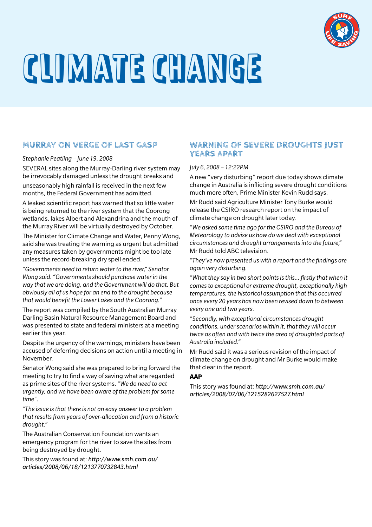

# CLIMATE CHANGE

## **MURRAY ON VERGE OF LAST GASP**

*Stephanie Peatling – June 19, 2008*

SEVERAL sites along the Murray-Darling river system may be irrevocably damaged unless the drought breaks and

unseasonably high rainfall is received in the next few months, the Federal Government has admitted.

A leaked scientific report has warned that so little water is being returned to the river system that the Coorong wetlands, lakes Albert and Alexandrina and the mouth of the Murray River will be virtually destroyed by October.

The Minister for Climate Change and Water, Penny Wong, said she was treating the warning as urgent but admitted any measures taken by governments might be too late unless the record-breaking dry spell ended.

*"Governments need to return water to the river," Senator Wong said. "Governments should purchase water in the way that we are doing, and the Government will do that. But obviously all of us hope for an end to the drought because that would benefit the Lower Lakes and the Coorong."*

The report was compiled by the South Australian Murray Darling Basin Natural Resource Management Board and was presented to state and federal ministers at a meeting earlier this year.

Despite the urgency of the warnings, ministers have been accused of deferring decisions on action until a meeting in November.

Senator Wong said she was prepared to bring forward the meeting to try to find a way of saving what are regarded as prime sites of the river systems. *"We do need to act urgently, and we have been aware of the problem for some time".*

*"The issue is that there is not an easy answer to a problem that results from years of over-allocation and from a historic drought."*

The Australian Conservation Foundation wants an emergency program for the river to save the sites from being destroyed by drought.

This story was found at: *http://www.smh.com.au/ articles/2008/06/18/1213770732843.html*

## **WARNING OF SEVERE DROUGHTS JUST YEARS APART**

## *July 6, 2008 – 12:22PM*

A new "very disturbing" report due today shows climate change in Australia is inflicting severe drought conditions much more often, Prime Minister Kevin Rudd says.

Mr Rudd said Agriculture Minister Tony Burke would release the CSIRO research report on the impact of climate change on drought later today.

*"We asked some time ago for the CSIRO and the Bureau of Meteorology to advise us how do we deal with exceptional circumstances and drought arrangements into the future,"* Mr Rudd told ABC television.

*"They've now presented us with a report and the findings are again very disturbing.*

*"What they say in two short points is this… firstly that when it comes to exceptional or extreme drought, exceptionally high temperatures, the historical assumption that this occurred once every 20 years has now been revised down to between every one and two years.*

*"Secondly, with exceptional circumstances drought conditions, under scenarios within it, that they will occur twice as often and with twice the area of droughted parts of Australia included."*

Mr Rudd said it was a serious revision of the impact of climate change on drought and Mr Burke would make that clear in the report.

## **AAP**

This story was found at: *http://www.smh.com.au/ articles/2008/07/06/1215282627527.html*